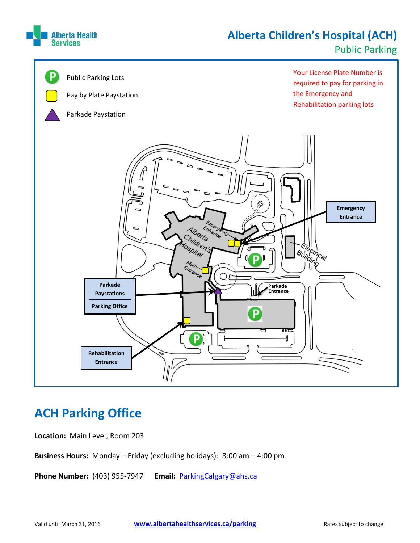

# **Alberta Children's Hospital (ACH)**

Public Parking



# **ACH Parking Office**

**Location:** Main Level, Room 203

**Business Hours:** Monday – Friday (excluding holidays): 8:00 am – 4:00 pm

**Phone Number:** (403) 955-7947 **Email:** [ParkingCalgary@ahs.ca](mailto:ParkingCentral@ahs.ca)